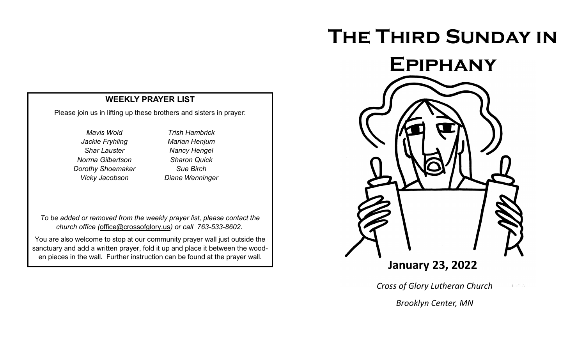# **The Third Sunday in**



Please join us in lifting up these brothers and sisters in prayer:

*Mavis Wold Jackie Fryhling Shar Lauster Norma Gilbertson Dorothy Shoemaker Vicky Jacobson*

*Trish Hambrick Marian Henjum Nancy Hengel Sharon Quick Sue Birch Diane Wenninger* 

*To be added or removed from the weekly prayer list, please contact the church office (*[office@crossofglory.us](mailto:office@crossofglory.us)*) or call 763-533-8602.*

You are also welcome to stop at our community prayer wall just outside the sanctuary and add a written prayer, fold it up and place it between the wooden pieces in the wall. Further instruction can be found at the prayer wall.



*Cross of Glory Lutheran Church*  $V\subset \mathcal{N}$ 

*Brooklyn Center, MN*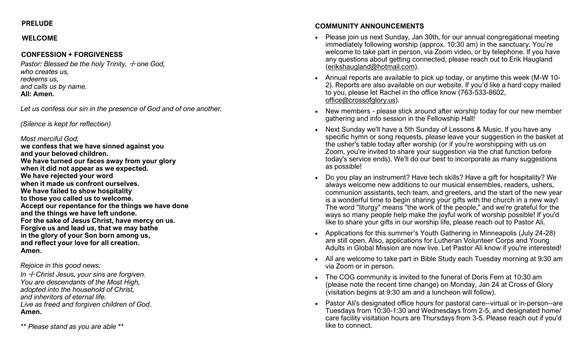# **PRELUDE**

# **WELCOME**

# **CONFESSION + FORGIVENESS**

*Pastor: Blessed be the holy Trinity,*  $\pm$  *one God, who creates us, redeems us, and calls us by name.* **All: Amen.**

*Let us confess our sin in the presence of God and of one another.*

*(Silence is kept for reflection)*

### *Most merciful God,*

**we confess that we have sinned against you and your beloved children. We have turned our faces away from your glory when it did not appear as we expected. We have rejected your word when it made us confront ourselves. We have failed to show hospitality to those you called us to welcome. Accept our repentance for the things we have done and the things we have left undone. For the sake of Jesus Christ, have mercy on us. Forgive us and lead us, that we may bathe in the glory of your Son born among us, and reflect your love for all creation. Amen.**

*Rejoice in this good news:*

In  $\pm$  Christ Jesus, your sins are forgiven. *You are descendants of the Most High, adopted into the household of Christ, and inheritors of eternal life. Live as freed and forgiven children of God.* **Amen.**

*\*\* Please stand as you are able \*\**

# **COMMUNITY ANNOUNCEMENTS**

- Please join us next Sunday, Jan 30th, for our annual congregational meeting immediately following worship (approx. 10:30 am) in the sanctuary. You're welcome to take part in person, via Zoom video, or by telephone. If you have any questions about getting connected, please reach out to Erik Haugland ([erikshaugland@hotmail.com\).](mailto:erikshaugland@hotmail.com)
- Annual reports are available to pick up today, or anytime this week (M-W 10- 2). Reports are also available on our website. If you'd like a hard copy mailed to you, please let Rachel in the office know (763-533-8602, [office@crossofglory.us\)](mailto:office@crossofglory.us).
- New members please stick around after worship today for our new member gathering and info session in the Fellowship Hall!
- Next Sunday we'll have a 5th Sunday of Lessons & Music. If you have any specific hymn or song requests, please leave your suggestion in the basket at the usher's table today after worship (or if you're worshipping with us on Zoom, you're invited to share your suggestion via the chat function before today's service ends). We'll do our best to incorporate as many suggestions as possible!
- Do you play an instrument? Have tech skills? Have a gift for hospitality? We always welcome new additions to our musical ensembles, readers, ushers, communion assistants, tech team, and greeters, and the start of the new year is a wonderful time to begin sharing your gifts with the church in a new way! The word "liturgy" means "the work of the people," and we're grateful for the ways so many people help make the joyful work of worship possible! If you'd like to share your gifts in our worship life, please reach out to Pastor Ali.
- Applications for this summer's Youth Gathering in Minneapolis (July 24-28) are still open. Also, applications for Lutheran Volunteer Corps and Young Adults in Global Mission are now live. Let Pastor Ali know if you're interested!
- All are welcome to take part in Bible Study each Tuesday morning at 9:30 am via Zoom or in person.
- The COG community is invited to the funeral of Doris Fern at 10:30 am (please note the recent time change) on Monday, Jan 24 at Cross of Glory (visitation begins at 9:30 am and a luncheon will follow).
- Pastor Ali's designated office hours for pastoral care--virtual or in-person--are Tuesdays from 10:30-1:30 and Wednesdays from 2-5, and designated home/ care facility visitation hours are Thursdays from 3-5. Please reach out if you'd like to connect.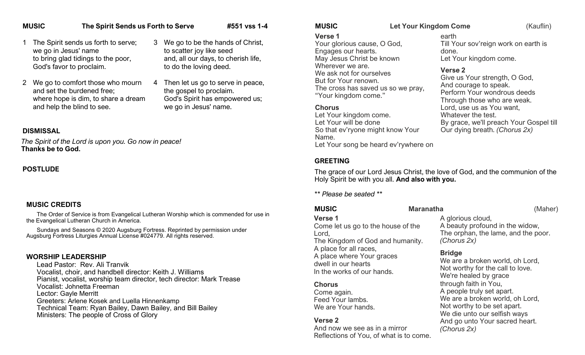# **MUSIC The Spirit Sends us Forth to Serve #551 vss 1-4**

- The Spirit sends us forth to serve; we go in Jesus' name to bring glad tidings to the poor, God's favor to proclaim.
- 2 We go to comfort those who mourn and set the burdened free; where hope is dim, to share a dream and help the blind to see.
- 3 We go to be the hands of Christ, to scatter joy like seed and, all our days, to cherish life, to do the loving deed.
- 4 Then let us go to serve in peace, the gospel to proclaim. God's Spirit has empowered us; we go in Jesus' name.

#### **DISMISSAL**

*The Spirit of the Lord is upon you. Go now in peace!*  **Thanks be to God.**

#### **POSTLUDE**

#### **MUSIC CREDITS**

The Order of Service is from Evangelical Lutheran Worship which is commended for use in the Evangelical Lutheran Church in America.

Sundays and Seasons © 2020 Augsburg Fortress. Reprinted by permission under Augsburg Fortress Liturgies Annual License #024779. All rights reserved.

#### **WORSHIP LEADERSHIP**

Lead Pastor: Rev. Ali Tranvik Vocalist, choir, and handbell director: Keith J. Williams Pianist, vocalist, worship team director, tech director: Mark Trease Vocalist: Johnetta Freeman Lector: Gayle Merritt Greeters: Arlene Kosek and Luella Hinnenkamp Technical Team: Ryan Bailey, Dawn Bailey, and Bill Bailey Ministers: The people of Cross of Glory

**MUSIC Let Your Kingdom Come** (Kauflin)

#### **Verse 1**

Your glorious cause, O God, Engages our hearts. May Jesus Christ be known Wherever we are. We ask not for ourselves But for Your renown. The cross has saved us so we pray, "Your kingdom come."

#### **Chorus**

Let Your kingdom come. Let Your will be done So that ev'ryone might know Your Name. Let Your song be heard ev'rywhere on

# **GREETING**

The grace of our Lord Jesus Christ, the love of God, and the communion of the Holy Spirit be with you all. **And also with you.**

*\*\* Please be seated \*\**

| <b>MUSIC</b>                                                                                             | <b>Maranatha</b>                                                                                              | (Maher)                                                                |  |
|----------------------------------------------------------------------------------------------------------|---------------------------------------------------------------------------------------------------------------|------------------------------------------------------------------------|--|
| Verse 1<br>Come let us go to the house of the<br>Lord,<br>The Kingdom of God and humanity.               | A glorious cloud,<br>(Chorus 2x)                                                                              | A beauty profound in the widow,<br>The orphan, the lame, and the poor. |  |
| A place for all races,<br>A place where Your graces<br>dwell in our hearts<br>In the works of our hands. | <b>Bridge</b><br>We are a broken world, oh Lord,<br>Not worthy for the call to love.<br>We're healed by grace |                                                                        |  |
| <b>Chorus</b>                                                                                            | through faith in You,                                                                                         |                                                                        |  |
| Come again.                                                                                              | A people truly set apart.                                                                                     |                                                                        |  |
| Feed Your lambs.<br>We are Your hands                                                                    | We are a broken world, oh Lord,<br>Not worthy to be set apart.                                                |                                                                        |  |

#### **Verse 2**

And now we see as in a mirror Reflections of You, of what is to come.

earth Till Your sov'reign work on earth is done. Let Your kingdom come.

# **Verse 2**

Give us Your strength, O God, And courage to speak. Perform Your wondrous deeds Through those who are weak. Lord, use us as You want, Whatever the test. By grace, we'll preach Your Gospel till Our dying breath. *(Chorus 2x)*

Not worthy to be set apart. We die unto our selfish ways And go unto Your sacred heart. *(Chorus 2x)*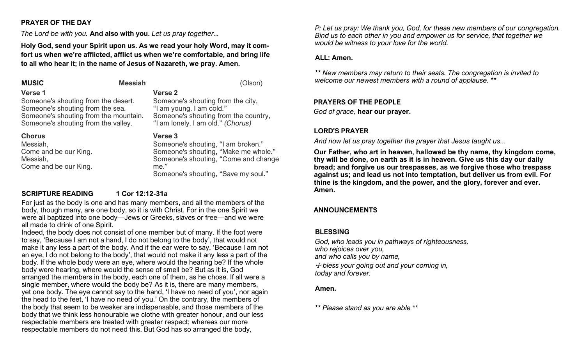# **PRAYER OF THE DAY**

*The Lord be with you.* **And also with you.** *Let us pray together...* 

**Holy God, send your Spirit upon us. As we read your holy Word, may it comfort us when we're afflicted, afflict us when we're comfortable, and bring life to all who hear it; in the name of Jesus of Nazareth, we pray. Amen.**

**MUSIC** Messiah **Messiah** (Olson) **Verse 1** Someone's shouting from the desert. Someone's shouting from the sea. Someone's shouting from the mountain. Someone's shouting from the valley. **Chorus** Messiah, **Verse 2** Someone's shouting from the city, "I am young. I am cold." Someone's shouting from the country, "I am lonely. I am old." *(Chorus)* **Verse 3**

Come and be our King. Messiah, Come and be our King.

Someone's shouting, "I am broken." Someone's shouting, "Make me whole." Someone's shouting, "Come and change me." Someone's shouting, "Save my soul."

# **SCRIPTURE READING 1 Cor 12:12-31a**

For just as the body is one and has many members, and all the members of the body, though many, are one body, so it is with Christ. For in the one Spirit we were all baptized into one body—Jews or Greeks, slaves or free—and we were all made to drink of one Spirit.

Indeed, the body does not consist of one member but of many. If the foot were to say, 'Because I am not a hand, I do not belong to the body', that would not make it any less a part of the body. And if the ear were to say, 'Because I am not an eye, I do not belong to the body', that would not make it any less a part of the body. If the whole body were an eye, where would the hearing be? If the whole body were hearing, where would the sense of smell be? But as it is, God arranged the members in the body, each one of them, as he chose. If all were a single member, where would the body be? As it is, there are many members, yet one body. The eye cannot say to the hand, 'I have no need of you', nor again the head to the feet, 'I have no need of you.' On the contrary, the members of the body that seem to be weaker are indispensable, and those members of the body that we think less honourable we clothe with greater honour, and our less respectable members are treated with greater respect; whereas our more respectable members do not need this. But God has so arranged the body,

*P: Let us pray: We thank you, God, for these new members of our congregation. Bind us to each other in you and empower us for service, that together we would be witness to your love for the world.* 

#### **ALL: Amen.**

*\*\* New members may return to their seats. The congregation is invited to welcome our newest members with a round of applause. \*\**

#### **PRAYERS OF THE PEOPLE**

*God of grace,* **hear our prayer.**

### **LORD'S PRAYER**

*And now let us pray together the prayer that Jesus taught us...* 

**Our Father, who art in heaven, hallowed be thy name, thy kingdom come, thy will be done, on earth as it is in heaven. Give us this day our daily bread; and forgive us our trespasses, as we forgive those who trespass against us; and lead us not into temptation, but deliver us from evil. For thine is the kingdom, and the power, and the glory, forever and ever. Amen.**

# **ANNOUNCEMENTS**

#### **BLESSING**

*God, who leads you in pathways of righteousness, who rejoices over you, and who calls you by name,* ☩ *bless your going out and your coming in, today and forever.*

#### **Amen.**

*\*\* Please stand as you are able \*\**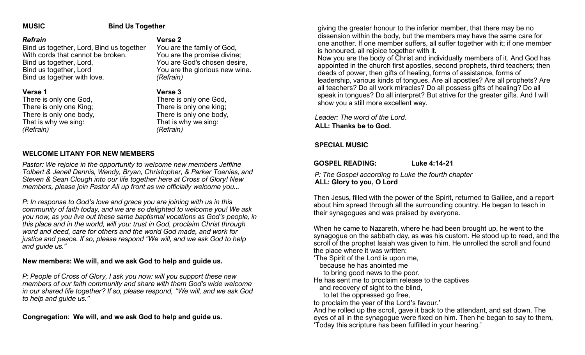#### **MUSIC Bind Us Together**

#### *Refrain*

Bind us together, Lord, Bind us together With cords that cannot be broken. Bind us together, Lord, Bind us together, Lord Bind us together with love.

#### **Verse 1**

There is only one God, There is only one King; There is only one body, That is why we sing: *(Refrain)*

#### **Verse 2**

You are the family of God, You are the promise divine; You are God's chosen desire, You are the glorious new wine. *(Refrain)*

#### **Verse 3**

There is only one God, There is only one king; There is only one body, That is why we sing: *(Refrain)*

#### **WELCOME LITANY FOR NEW MEMBERS**

*Pastor: We rejoice in the opportunity to welcome new members Jeffline Tolbert & Jenell Dennis, Wendy, Bryan, Christopher, & Parker Toenies, and Steven & Sean Clough into our life together here at Cross of Glory! New members, please join Pastor Ali up front as we officially welcome you...*

*P: In response to God's love and grace you are joining with us in this community of faith today, and we are so delighted to welcome you! We ask you now, as you live out these same baptismal vocations as God's people, in this place and in the world, will you: trust in God, proclaim Christ through word and deed, care for others and the world God made, and work for justice and peace. If so, please respond "We will, and we ask God to help and guide us."* 

#### **New members: We will, and we ask God to help and guide us.**

*P: People of Cross of Glory, I ask you now: will you support these new members of our faith community and share with them God's wide welcome in our shared life together? If so, please respond, "We will, and we ask God to help and guide us."* 

**Congregation**: **We will, and we ask God to help and guide us.**

giving the greater honour to the inferior member, that there may be no dissension within the body, but the members may have the same care for one another. If one member suffers, all suffer together with it; if one member is honoured, all rejoice together with it.

Now you are the body of Christ and individually members of it. And God has appointed in the church first apostles, second prophets, third teachers; then deeds of power, then gifts of healing, forms of assistance, forms of leadership, various kinds of tongues. Are all apostles? Are all prophets? Are all teachers? Do all work miracles? Do all possess gifts of healing? Do all speak in tongues? Do all interpret? But strive for the greater gifts. And I will show you a still more excellent way.

*Leader: The word of the Lord.* **ALL: Thanks be to God.**

#### **SPECIAL MUSIC**

**GOSPEL READING: Luke 4:14-21** 

*P: The Gospel according to Luke the fourth chapter* 

**ALL: Glory to you, O Lord** Then Jesus, filled with the power of the Spirit, returned to Galilee, and a report about him spread through all the surrounding country. He began to teach in their synagogues and was praised by everyone.

When he came to Nazareth, where he had been brought up, he went to the synagogue on the sabbath day, as was his custom. He stood up to read, and the scroll of the prophet Isaiah was given to him. He unrolled the scroll and found the place where it was written:

'The Spirit of the Lord is upon me,

because he has anointed me

to bring good news to the poor.

He has sent me to proclaim release to the captives

and recovery of sight to the blind,

to let the oppressed go free,

to proclaim the year of the Lord's favour.'

And he rolled up the scroll, gave it back to the attendant, and sat down. The eyes of all in the synagogue were fixed on him. Then he began to say to them, 'Today this scripture has been fulfilled in your hearing.'